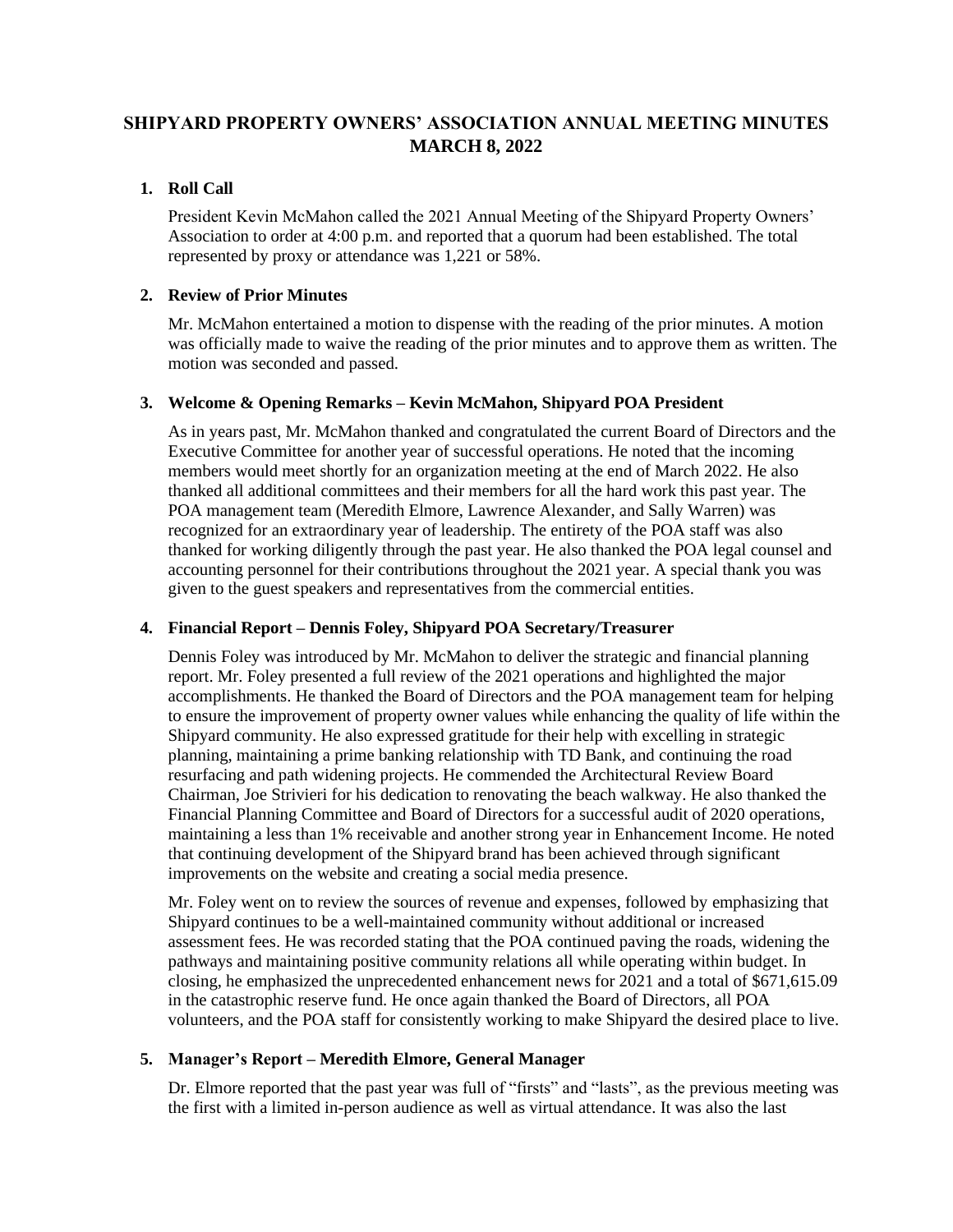# **SHIPYARD PROPERTY OWNERS' ASSOCIATION ANNUAL MEETING MINUTES MARCH 8, 2022**

# **1. Roll Call**

President Kevin McMahon called the 2021 Annual Meeting of the Shipyard Property Owners' Association to order at 4:00 p.m. and reported that a quorum had been established. The total represented by proxy or attendance was 1,221 or 58%.

# **2. Review of Prior Minutes**

Mr. McMahon entertained a motion to dispense with the reading of the prior minutes. A motion was officially made to waive the reading of the prior minutes and to approve them as written. The motion was seconded and passed.

# **3. Welcome & Opening Remarks – Kevin McMahon, Shipyard POA President**

As in years past, Mr. McMahon thanked and congratulated the current Board of Directors and the Executive Committee for another year of successful operations. He noted that the incoming members would meet shortly for an organization meeting at the end of March 2022. He also thanked all additional committees and their members for all the hard work this past year. The POA management team (Meredith Elmore, Lawrence Alexander, and Sally Warren) was recognized for an extraordinary year of leadership. The entirety of the POA staff was also thanked for working diligently through the past year. He also thanked the POA legal counsel and accounting personnel for their contributions throughout the 2021 year. A special thank you was given to the guest speakers and representatives from the commercial entities.

## **4. Financial Report – Dennis Foley, Shipyard POA Secretary/Treasurer**

Dennis Foley was introduced by Mr. McMahon to deliver the strategic and financial planning report. Mr. Foley presented a full review of the 2021 operations and highlighted the major accomplishments. He thanked the Board of Directors and the POA management team for helping to ensure the improvement of property owner values while enhancing the quality of life within the Shipyard community. He also expressed gratitude for their help with excelling in strategic planning, maintaining a prime banking relationship with TD Bank, and continuing the road resurfacing and path widening projects. He commended the Architectural Review Board Chairman, Joe Strivieri for his dedication to renovating the beach walkway. He also thanked the Financial Planning Committee and Board of Directors for a successful audit of 2020 operations, maintaining a less than 1% receivable and another strong year in Enhancement Income. He noted that continuing development of the Shipyard brand has been achieved through significant improvements on the website and creating a social media presence.

Mr. Foley went on to review the sources of revenue and expenses, followed by emphasizing that Shipyard continues to be a well-maintained community without additional or increased assessment fees. He was recorded stating that the POA continued paving the roads, widening the pathways and maintaining positive community relations all while operating within budget. In closing, he emphasized the unprecedented enhancement news for 2021 and a total of \$671,615.09 in the catastrophic reserve fund. He once again thanked the Board of Directors, all POA volunteers, and the POA staff for consistently working to make Shipyard the desired place to live.

## **5. Manager's Report – Meredith Elmore, General Manager**

Dr. Elmore reported that the past year was full of "firsts" and "lasts", as the previous meeting was the first with a limited in-person audience as well as virtual attendance. It was also the last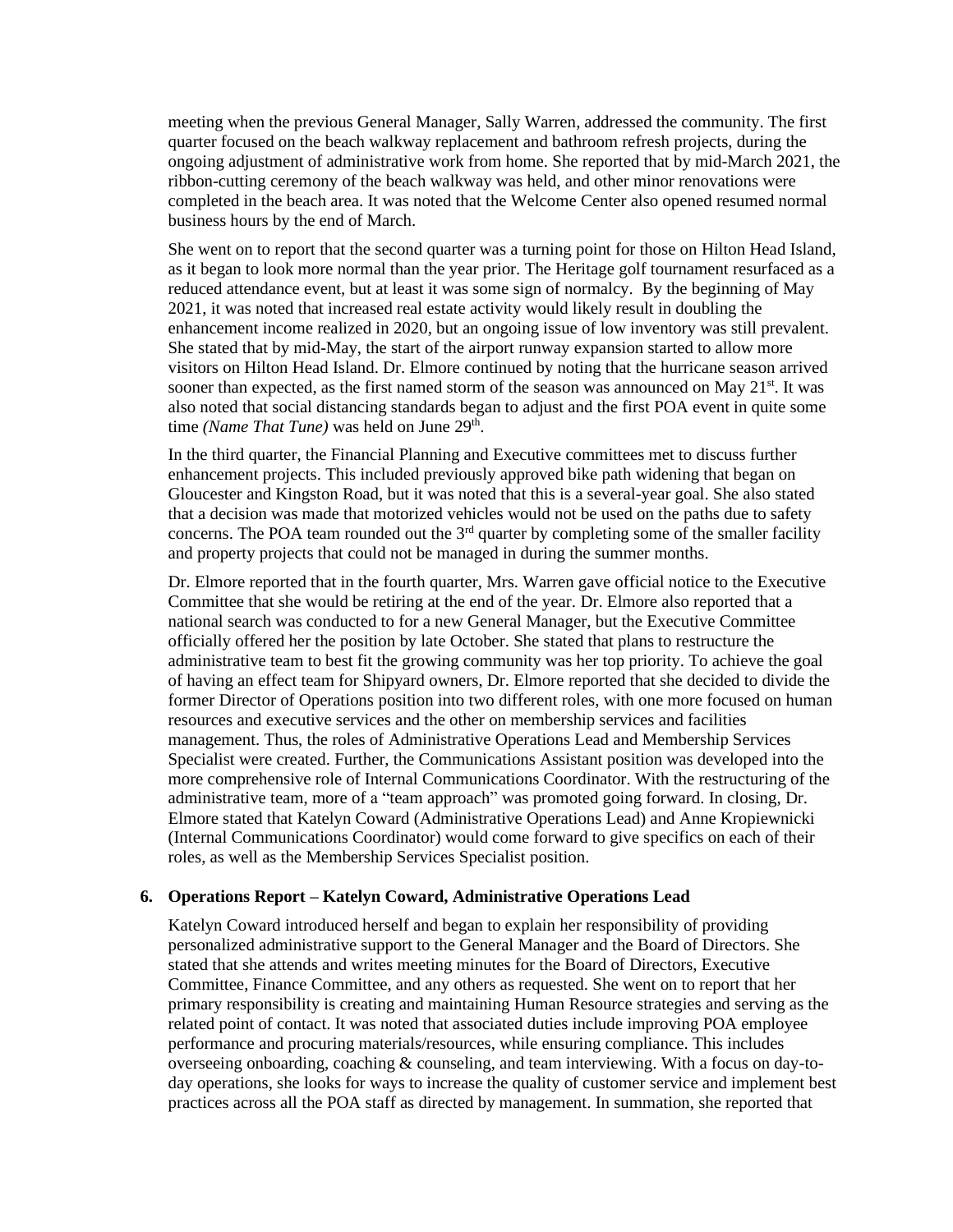meeting when the previous General Manager, Sally Warren, addressed the community. The first quarter focused on the beach walkway replacement and bathroom refresh projects, during the ongoing adjustment of administrative work from home. She reported that by mid-March 2021, the ribbon-cutting ceremony of the beach walkway was held, and other minor renovations were completed in the beach area. It was noted that the Welcome Center also opened resumed normal business hours by the end of March.

She went on to report that the second quarter was a turning point for those on Hilton Head Island, as it began to look more normal than the year prior. The Heritage golf tournament resurfaced as a reduced attendance event, but at least it was some sign of normalcy. By the beginning of May 2021, it was noted that increased real estate activity would likely result in doubling the enhancement income realized in 2020, but an ongoing issue of low inventory was still prevalent. She stated that by mid-May, the start of the airport runway expansion started to allow more visitors on Hilton Head Island. Dr. Elmore continued by noting that the hurricane season arrived sooner than expected, as the first named storm of the season was announced on May  $21<sup>st</sup>$ . It was also noted that social distancing standards began to adjust and the first POA event in quite some time *(Name That Tune)* was held on June 29<sup>th</sup>.

In the third quarter, the Financial Planning and Executive committees met to discuss further enhancement projects. This included previously approved bike path widening that began on Gloucester and Kingston Road, but it was noted that this is a several-year goal. She also stated that a decision was made that motorized vehicles would not be used on the paths due to safety concerns. The POA team rounded out the  $3<sup>rd</sup>$  quarter by completing some of the smaller facility and property projects that could not be managed in during the summer months.

Dr. Elmore reported that in the fourth quarter, Mrs. Warren gave official notice to the Executive Committee that she would be retiring at the end of the year. Dr. Elmore also reported that a national search was conducted to for a new General Manager, but the Executive Committee officially offered her the position by late October. She stated that plans to restructure the administrative team to best fit the growing community was her top priority. To achieve the goal of having an effect team for Shipyard owners, Dr. Elmore reported that she decided to divide the former Director of Operations position into two different roles, with one more focused on human resources and executive services and the other on membership services and facilities management. Thus, the roles of Administrative Operations Lead and Membership Services Specialist were created. Further, the Communications Assistant position was developed into the more comprehensive role of Internal Communications Coordinator. With the restructuring of the administrative team, more of a "team approach" was promoted going forward. In closing, Dr. Elmore stated that Katelyn Coward (Administrative Operations Lead) and Anne Kropiewnicki (Internal Communications Coordinator) would come forward to give specifics on each of their roles, as well as the Membership Services Specialist position.

#### **6. Operations Report – Katelyn Coward, Administrative Operations Lead**

Katelyn Coward introduced herself and began to explain her responsibility of providing personalized administrative support to the General Manager and the Board of Directors. She stated that she attends and writes meeting minutes for the Board of Directors, Executive Committee, Finance Committee, and any others as requested. She went on to report that her primary responsibility is creating and maintaining Human Resource strategies and serving as the related point of contact. It was noted that associated duties include improving POA employee performance and procuring materials/resources, while ensuring compliance. This includes overseeing onboarding, coaching & counseling, and team interviewing. With a focus on day-today operations, she looks for ways to increase the quality of customer service and implement best practices across all the POA staff as directed by management. In summation, she reported that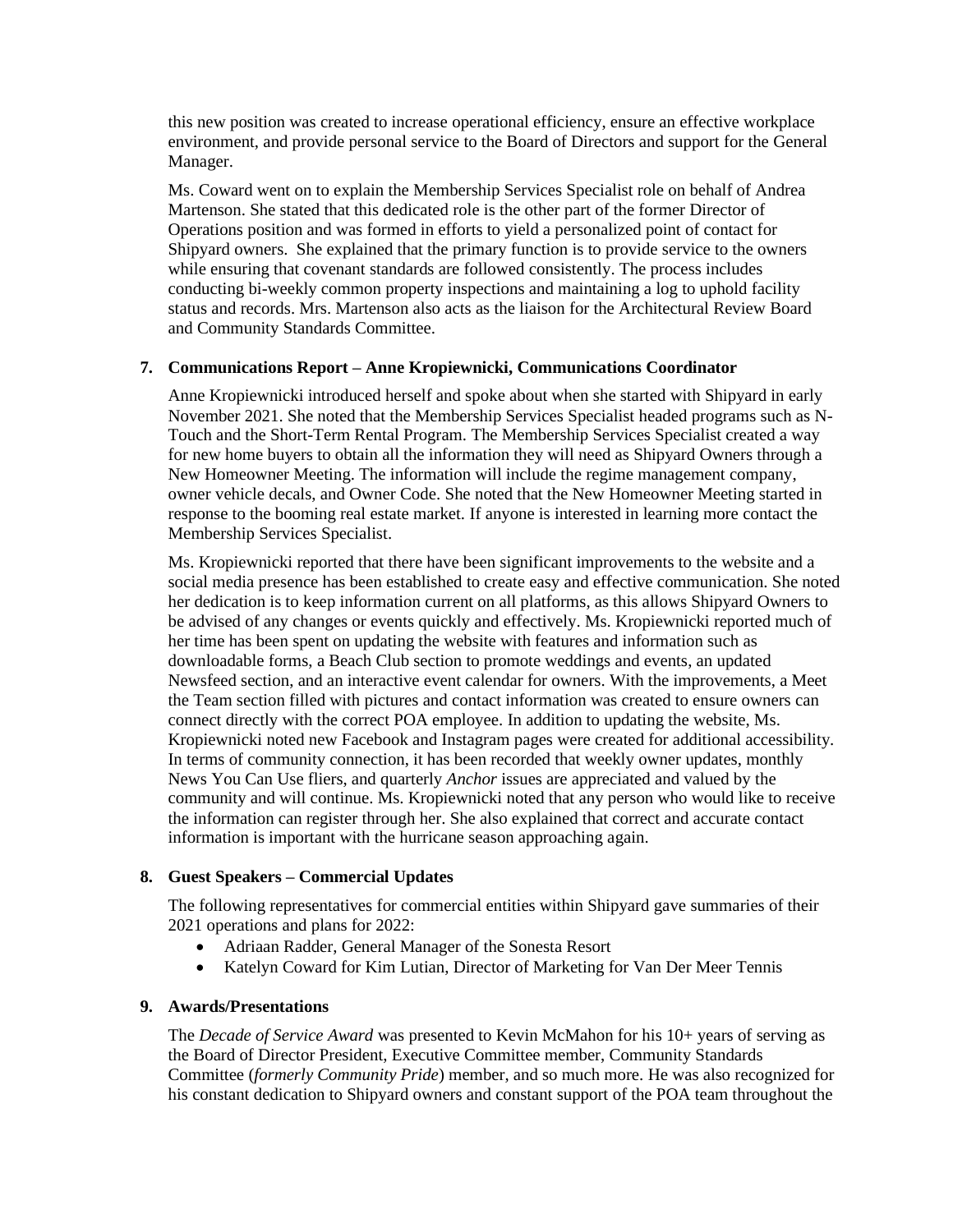this new position was created to increase operational efficiency, ensure an effective workplace environment, and provide personal service to the Board of Directors and support for the General Manager.

Ms. Coward went on to explain the Membership Services Specialist role on behalf of Andrea Martenson. She stated that this dedicated role is the other part of the former Director of Operations position and was formed in efforts to yield a personalized point of contact for Shipyard owners. She explained that the primary function is to provide service to the owners while ensuring that covenant standards are followed consistently. The process includes conducting bi-weekly common property inspections and maintaining a log to uphold facility status and records. Mrs. Martenson also acts as the liaison for the Architectural Review Board and Community Standards Committee.

### **7. Communications Report – Anne Kropiewnicki, Communications Coordinator**

Anne Kropiewnicki introduced herself and spoke about when she started with Shipyard in early November 2021. She noted that the Membership Services Specialist headed programs such as N-Touch and the Short-Term Rental Program. The Membership Services Specialist created a way for new home buyers to obtain all the information they will need as Shipyard Owners through a New Homeowner Meeting. The information will include the regime management company, owner vehicle decals, and Owner Code. She noted that the New Homeowner Meeting started in response to the booming real estate market. If anyone is interested in learning more contact the Membership Services Specialist.

Ms. Kropiewnicki reported that there have been significant improvements to the website and a social media presence has been established to create easy and effective communication. She noted her dedication is to keep information current on all platforms, as this allows Shipyard Owners to be advised of any changes or events quickly and effectively. Ms. Kropiewnicki reported much of her time has been spent on updating the website with features and information such as downloadable forms, a Beach Club section to promote weddings and events, an updated Newsfeed section, and an interactive event calendar for owners. With the improvements, a Meet the Team section filled with pictures and contact information was created to ensure owners can connect directly with the correct POA employee. In addition to updating the website, Ms. Kropiewnicki noted new Facebook and Instagram pages were created for additional accessibility. In terms of community connection, it has been recorded that weekly owner updates, monthly News You Can Use fliers, and quarterly *Anchor* issues are appreciated and valued by the community and will continue. Ms. Kropiewnicki noted that any person who would like to receive the information can register through her. She also explained that correct and accurate contact information is important with the hurricane season approaching again.

## **8. Guest Speakers – Commercial Updates**

The following representatives for commercial entities within Shipyard gave summaries of their 2021 operations and plans for 2022:

- Adriaan Radder, General Manager of the Sonesta Resort
- Katelyn Coward for Kim Lutian, Director of Marketing for Van Der Meer Tennis

#### **9. Awards/Presentations**

The *Decade of Service Award* was presented to Kevin McMahon for his 10+ years of serving as the Board of Director President, Executive Committee member, Community Standards Committee (*formerly Community Pride*) member, and so much more. He was also recognized for his constant dedication to Shipyard owners and constant support of the POA team throughout the